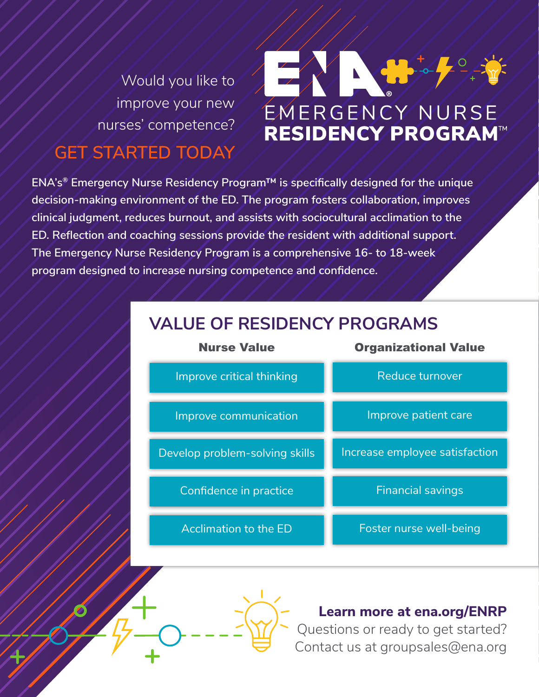Would you like to improve your new nurses' competence?

# $\frac{1}{2}$ EMERGENCY NURSE/<br>RESIDENCY PROGRAM

# **GET STARTED TODAY**

**ENA's® Emergency Nurse Residency Program™ is specifically designed for the unique decision-making environment of the ED. The program fosters collaboration, improves clinical judgment, reduces burnout, and assists with sociocultural acclimation to the ED. Reflection and coaching sessions provide the resident with additional support. The Emergency Nurse Residency Program is a comprehensive 16- to 18-week program designed to increase nursing competence and confidence.**





**Learn more at ena.org/ENRP**

Questions or ready to get started? Contact us at groupsales@ena.org